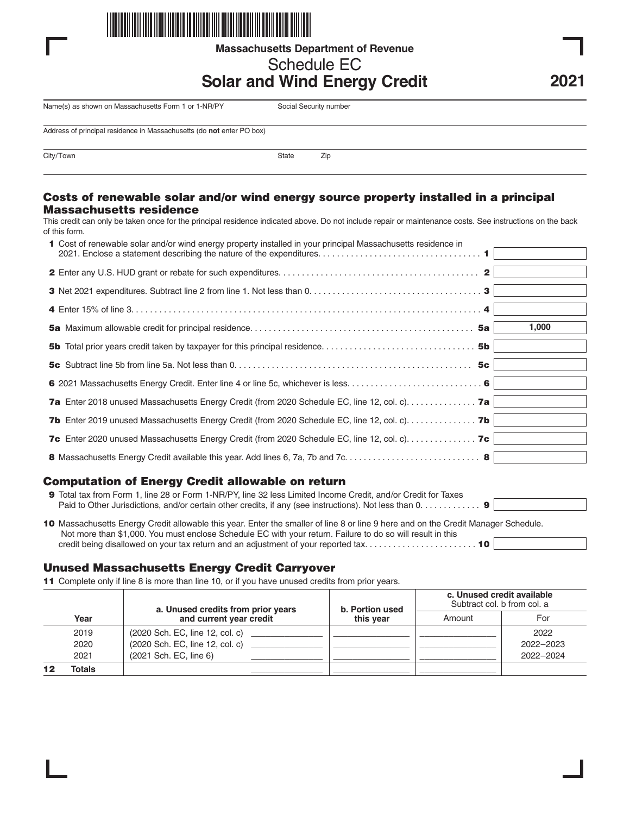

**Massachusetts Department of Revenue**

# Schedule EC

# **Solar and Wind Energy Credit**

**2021**

Name(s) as shown on Massachusetts Form 1 or 1-NR/PY Social Security number

Address of principal residence in Massachusetts (do **not** enter PO box)

City/Town 2ip

#### **Costs of renewable solar and/or wind energy source property installed in a principal Massachusetts residence**

This credit can only be taken once for the principal residence indicated above. Do not include repair or maintenance costs. See instructions on the back of this form.

| 1 Cost of renewable solar and/or wind energy property installed in your principal Massachusetts residence in          |  |
|-----------------------------------------------------------------------------------------------------------------------|--|
|                                                                                                                       |  |
|                                                                                                                       |  |
|                                                                                                                       |  |
| 1,000                                                                                                                 |  |
|                                                                                                                       |  |
|                                                                                                                       |  |
|                                                                                                                       |  |
| 7a Enter 2018 unused Massachusetts Energy Credit (from 2020 Schedule EC, line 12, col. c). 7a                         |  |
| <b>7b</b> Enter 2019 unused Massachusetts Energy Credit (from 2020 Schedule EC, line 12, col. c). $\dots$ . <b>7b</b> |  |
| 7c Enter 2020 unused Massachusetts Energy Credit (from 2020 Schedule EC, line 12, col. c). 7c                         |  |
|                                                                                                                       |  |

### **Computation of Energy Credit allowable on return**

| 9 Total tax from Form 1, line 28 or Form 1-NR/PY, line 32 less Limited Income Credit, and/or Credit for Taxes                                                                                                                                    |  |  |  |  |
|--------------------------------------------------------------------------------------------------------------------------------------------------------------------------------------------------------------------------------------------------|--|--|--|--|
| Paid to Other Jurisdictions, and/or certain other credits, if any (see instructions). Not less than $0, \ldots, \ldots, 9$                                                                                                                       |  |  |  |  |
| 10 Massachusetts Energy Credit allowable this year. Enter the smaller of line 8 or line 9 here and on the Credit Manager Schedule.<br>Not more than \$1,000. You must enclose Schedule EC with your return. Failure to do so will result in this |  |  |  |  |
| credit being disallowed on your tax return and an adjustment of your reported tax 10                                                                                                                                                             |  |  |  |  |

### **Unused Massachusetts Energy Credit Carryover**

**11** Complete only if line 8 is more than line 10, or if you have unused credits from prior years.

|        | a. Unused credits from prior years | b. Portion used<br>this vear | c. Unused credit available<br>Subtract col. b from col. a |           |
|--------|------------------------------------|------------------------------|-----------------------------------------------------------|-----------|
| Year   | and current year credit            |                              | Amount                                                    | For       |
| 2019   | (2020 Sch. EC, line 12, col. c)    |                              |                                                           | 2022      |
| 2020   | (2020 Sch. EC, line 12, col. c)    |                              |                                                           | 2022-2023 |
| 2021   | (2021 Sch. EC, line 6)             |                              |                                                           | 2022-2024 |
| Totals |                                    |                              |                                                           |           |